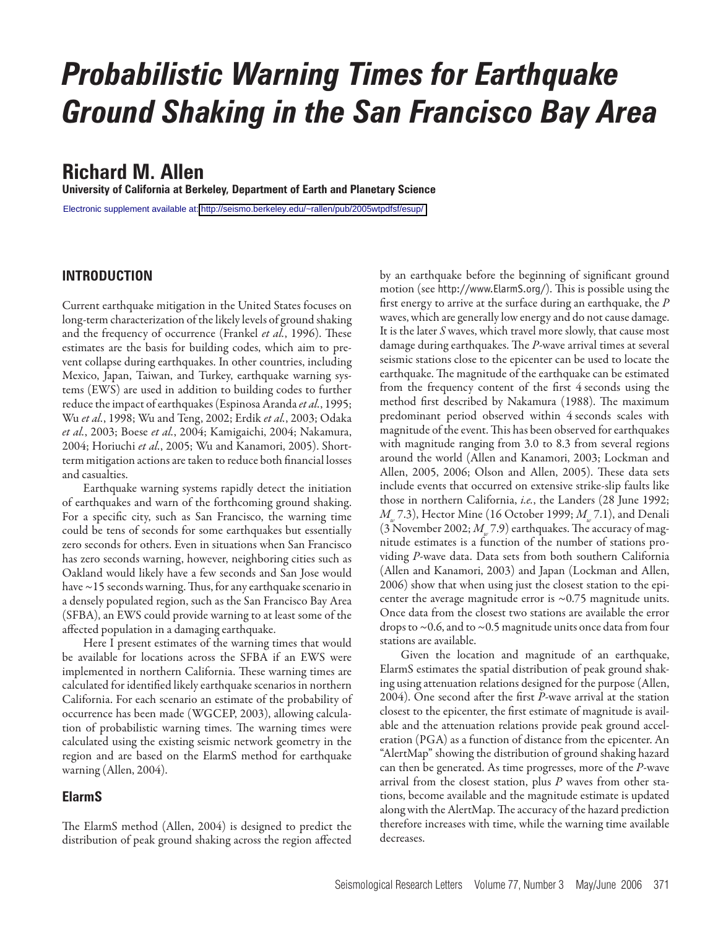# *Probabilistic Warning Times for Earthquake Ground Shaking in the San Francisco Bay Area*

# **Richard M. Allen**

**University of California at Berkeley, Department of Earth and Planetary Science**

Electronic supplement available at:<http://seismo.berkeley.edu/~rallen/pub/2005wtpdfsf/esup/>

# **INTRODUCTION**

Current earthquake mitigation in the United States focuses on long-term characterization of the likely levels of ground shaking and the frequency of occurrence (Frankel *et al.*, 1996). These estimates are the basis for building codes, which aim to prevent collapse during earthquakes. In other countries, including Mexico, Japan, Taiwan, and Turkey, earthquake warning systems (EWS) are used in addition to building codes to further reduce the impact of earthquakes (Espinosa Aranda *et al.*, 1995; Wu *et al.*, 1998; Wu and Teng, 2002; Erdik *et al.*, 2003; Odaka *et al.*, 2003; Boese *et al.*, 2004; Kamigaichi, 2004; Nakamura, 2004; Horiuchi *et al.*, 2005; Wu and Kanamori, 2005). Shortterm mitigation actions are taken to reduce both financial losses and casualties.

Earthquake warning systems rapidly detect the initiation of earthquakes and warn of the forthcoming ground shaking. For a specific city, such as San Francisco, the warning time could be tens of seconds for some earthquakes but essentially zero seconds for others. Even in situations when San Francisco has zero seconds warning, however, neighboring cities such as Oakland would likely have a few seconds and San Jose would have ~15 seconds warning. Thus, for any earthquake scenario in a densely populated region, such as the San Francisco Bay Area (SFBA), an EWS could provide warning to at least some of the affected population in a damaging earthquake.

Here I present estimates of the warning times that would be available for locations across the SFBA if an EWS were implemented in northern California. These warning times are calculated for identified likely earthquake scenarios in northern California. For each scenario an estimate of the probability of occurrence has been made (WGCEP, 2003), allowing calculation of probabilistic warning times. The warning times were calculated using the existing seismic network geometry in the region and are based on the ElarmS method for earthquake warning (Allen, 2004).

# **ElarmS**

The ElarmS method (Allen, 2004) is designed to predict the distribution of peak ground shaking across the region affected

by an earthquake before the beginning of significant ground motion (see http://www.ElarmS.org/). This is possible using the first energy to arrive at the surface during an earthquake, the *P* waves, which are generally low energy and do not cause damage. It is the later *S* waves, which travel more slowly, that cause most damage during earthquakes. The *P*-wave arrival times at several seismic stations close to the epicenter can be used to locate the earthquake. The magnitude of the earthquake can be estimated from the frequency content of the first 4 seconds using the method first described by Nakamura (1988). The maximum predominant period observed within 4 seconds scales with magnitude of the event. This has been observed for earthquakes with magnitude ranging from 3.0 to 8.3 from several regions around the world (Allen and Kanamori, 2003; Lockman and Allen, 2005, 2006; Olson and Allen, 2005). These data sets include events that occurred on extensive strike-slip faults like those in northern California, *i.e.*, the Landers (28 June 1992; *M* 7.3), Hector Mine (16 October 1999; *M* 7.1), and Denali (3 November 2002;  $M_{w}$  7.9) earthquakes. The accuracy of magnitude estimates is a function of the number of stations providing *P*-wave data. Data sets from both southern California (Allen and Kanamori, 2003) and Japan (Lockman and Allen, 2006) show that when using just the closest station to the epicenter the average magnitude error is  $\sim 0.75$  magnitude units. Once data from the closest two stations are available the error drops to  $\sim$  0.6, and to  $\sim$  0.5 magnitude units once data from four stations are available.

Given the location and magnitude of an earthquake, ElarmS estimates the spatial distribution of peak ground shaking using attenuation relations designed for the purpose (Allen, 2004). One second after the first *P*-wave arrival at the station closest to the epicenter, the first estimate of magnitude is available and the attenuation relations provide peak ground acceleration (PGA) as a function of distance from the epicenter. An "AlertMap" showing the distribution of ground shaking hazard can then be generated. As time progresses, more of the *P*-wave arrival from the closest station, plus *P* waves from other stations, become available and the magnitude estimate is updated along with the AlertMap. The accuracy of the hazard prediction therefore increases with time, while the warning time available decreases.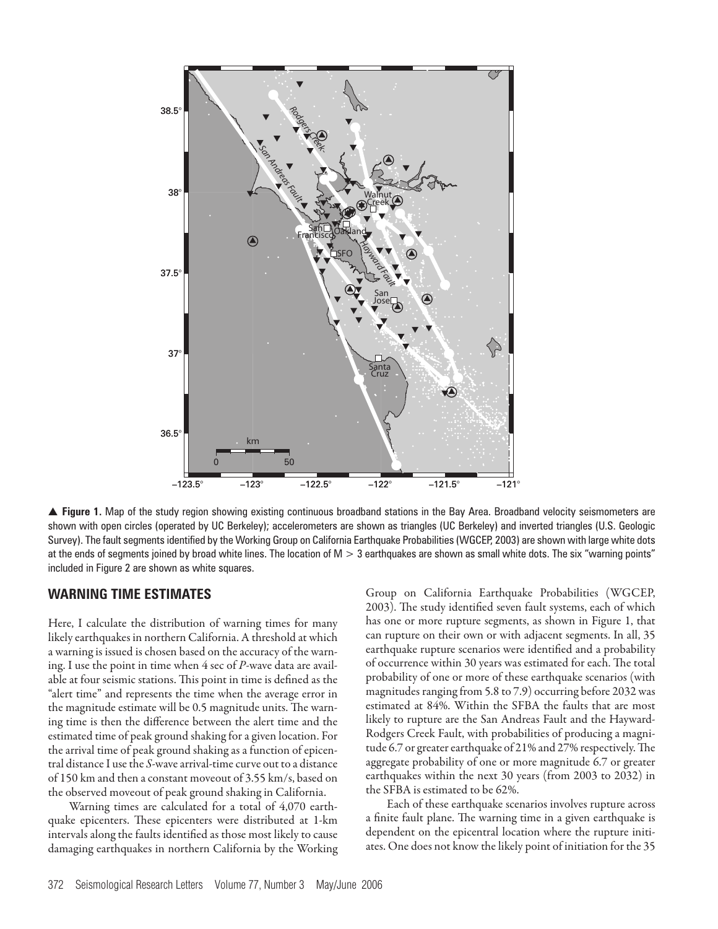

▲ Figure 1. Map of the study region showing existing continuous broadband stations in the Bay Area. Broadband velocity seismometers are shown with open circles (operated by UC Berkeley); accelerometers are shown as triangles (UC Berkeley) and inverted triangles (U.S. Geologic Survey). The fault segments identified by the Working Group on California Earthquake Probabilities (WGCEP, 2003) are shown with large white dots at the ends of segments joined by broad white lines. The location of  $M > 3$  earthquakes are shown as small white dots. The six "warning points" included in Figure 2 are shown as white squares.

# **WARNING TIME ESTIMATES**

Here, I calculate the distribution of warning times for many likely earthquakes in northern California. A threshold at which a warning is issued is chosen based on the accuracy of the warning. I use the point in time when 4 sec of *P*-wave data are available at four seismic stations. This point in time is defined as the "alert time" and represents the time when the average error in the magnitude estimate will be 0.5 magnitude units. The warning time is then the difference between the alert time and the estimated time of peak ground shaking for a given location. For the arrival time of peak ground shaking as a function of epicentral distance I use the *S*-wave arrival-time curve out to a distance of 150 km and then a constant moveout of 3.55 km/s, based on the observed moveout of peak ground shaking in California.

Warning times are calculated for a total of 4,070 earthquake epicenters. These epicenters were distributed at 1-km intervals along the faults identified as those most likely to cause damaging earthquakes in northern California by the Working Group on California Earthquake Probabilities (WGCEP, 2003). The study identified seven fault systems, each of which has one or more rupture segments, as shown in Figure 1, that can rupture on their own or with adjacent segments. In all, 35 earthquake rupture scenarios were identified and a probability of occurrence within 30 years was estimated for each. The total probability of one or more of these earthquake scenarios (with magnitudes ranging from 5.8 to 7.9) occurring before 2032 was estimated at 84%. Within the SFBA the faults that are most likely to rupture are the San Andreas Fault and the Hayward-Rodgers Creek Fault, with probabilities of producing a magnitude 6.7 or greater earthquake of 21% and 27% respectively. The aggregate probability of one or more magnitude 6.7 or greater earthquakes within the next 30 years (from 2003 to 2032) in the SFBA is estimated to be 62%.

Each of these earthquake scenarios involves rupture across a finite fault plane. The warning time in a given earthquake is dependent on the epicentral location where the rupture initiates. One does not know the likely point of initiation for the 35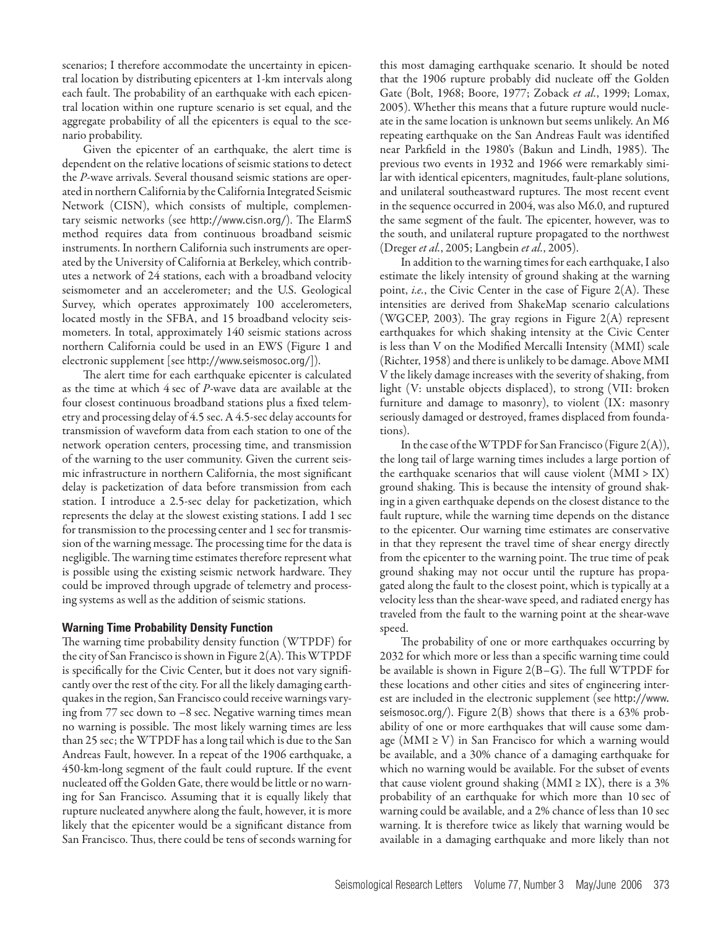scenarios; I therefore accommodate the uncertainty in epicentral location by distributing epicenters at 1-km intervals along each fault. The probability of an earthquake with each epicentral location within one rupture scenario is set equal, and the aggregate probability of all the epicenters is equal to the scenario probability.

Given the epicenter of an earthquake, the alert time is dependent on the relative locations of seismic stations to detect the *P*-wave arrivals. Several thousand seismic stations are operated in northern California by the California Integrated Seismic Network (CISN), which consists of multiple, complementary seismic networks (see http://www.cisn.org/). The ElarmS method requires data from continuous broadband seismic instruments. In northern California such instruments are operated by the University of California at Berkeley, which contributes a network of 24 stations, each with a broadband velocity seismometer and an accelerometer; and the U.S. Geological Survey, which operates approximately 100 accelerometers, located mostly in the SFBA, and 15 broadband velocity seismometers. In total, approximately 140 seismic stations across northern California could be used in an EWS (Figure 1 and electronic supplement [see http://www.seismosoc.org/]).

The alert time for each earthquake epicenter is calculated as the time at which 4 sec of *P*-wave data are available at the four closest continuous broadband stations plus a fixed telemetry and processing delay of 4.5 sec. A 4.5-sec delay accounts for transmission of waveform data from each station to one of the network operation centers, processing time, and transmission of the warning to the user community. Given the current seismic infrastructure in northern California, the most significant delay is packetization of data before transmission from each station. I introduce a 2.5-sec delay for packetization, which represents the delay at the slowest existing stations. I add 1 sec for transmission to the processing center and 1 sec for transmission of the warning message. The processing time for the data is negligible. The warning time estimates therefore represent what is possible using the existing seismic network hardware. They could be improved through upgrade of telemetry and processing systems as well as the addition of seismic stations.

#### **Warning Time Probability Density Function**

The warning time probability density function (WTPDF) for the city of San Francisco is shown in Figure 2(A). This WTPDF is specifically for the Civic Center, but it does not vary significantly over the rest of the city. For all the likely damaging earthquakes in the region, San Francisco could receive warnings varying from 77 sec down to –8 sec. Negative warning times mean no warning is possible. The most likely warning times are less than 25 sec; the WTPDF has a long tail which is due to the San Andreas Fault, however. In a repeat of the 1906 earthquake, a 450-km-long segment of the fault could rupture. If the event nucleated off the Golden Gate, there would be little or no warning for San Francisco. Assuming that it is equally likely that rupture nucleated anywhere along the fault, however, it is more likely that the epicenter would be a significant distance from San Francisco. Thus, there could be tens of seconds warning for

this most damaging earthquake scenario. It should be noted that the 1906 rupture probably did nucleate off the Golden Gate (Bolt, 1968; Boore, 1977; Zoback *et al.*, 1999; Lomax, 2005). Whether this means that a future rupture would nucleate in the same location is unknown but seems unlikely. An M6 repeating earthquake on the San Andreas Fault was identified near Parkfield in the 1980's (Bakun and Lindh, 1985). The previous two events in 1932 and 1966 were remarkably similar with identical epicenters, magnitudes, fault-plane solutions, and unilateral southeastward ruptures. The most recent event in the sequence occurred in 2004, was also M6.0, and ruptured the same segment of the fault. The epicenter, however, was to the south, and unilateral rupture propagated to the northwest (Dreger *et al.*, 2005; Langbein *et al.*, 2005).

In addition to the warning times for each earthquake, I also estimate the likely intensity of ground shaking at the warning point, *i.e.*, the Civic Center in the case of Figure 2(A). These intensities are derived from ShakeMap scenario calculations (WGCEP, 2003). The gray regions in Figure  $2(A)$  represent earthquakes for which shaking intensity at the Civic Center is less than V on the Modified Mercalli Intensity (MMI) scale (Richter, 1958) and there is unlikely to be damage. Above MMI V the likely damage increases with the severity of shaking, from light (V: unstable objects displaced), to strong (VII: broken furniture and damage to masonry), to violent (IX: masonry seriously damaged or destroyed, frames displaced from foundations).

In the case of the WTPDF for San Francisco (Figure 2(A)), the long tail of large warning times includes a large portion of the earthquake scenarios that will cause violent  $(MMI > IX)$ ground shaking. This is because the intensity of ground shaking in a given earthquake depends on the closest distance to the fault rupture, while the warning time depends on the distance to the epicenter. Our warning time estimates are conservative in that they represent the travel time of shear energy directly from the epicenter to the warning point. The true time of peak ground shaking may not occur until the rupture has propagated along the fault to the closest point, which is typically at a velocity less than the shear-wave speed, and radiated energy has traveled from the fault to the warning point at the shear-wave speed.

The probability of one or more earthquakes occurring by 2032 for which more or less than a specific warning time could be available is shown in Figure 2(B–G). The full WTPDF for these locations and other cities and sites of engineering interest are included in the electronic supplement (see http://www. seismosoc.org/). Figure  $2(B)$  shows that there is a 63% probability of one or more earthquakes that will cause some damage ( $MMI \geq V$ ) in San Francisco for which a warning would be available, and a 30% chance of a damaging earthquake for which no warning would be available. For the subset of events that cause violent ground shaking (MMI  $\geq$  IX), there is a 3% probability of an earthquake for which more than 10 sec of warning could be available, and a 2% chance of less than 10 sec warning. It is therefore twice as likely that warning would be available in a damaging earthquake and more likely than not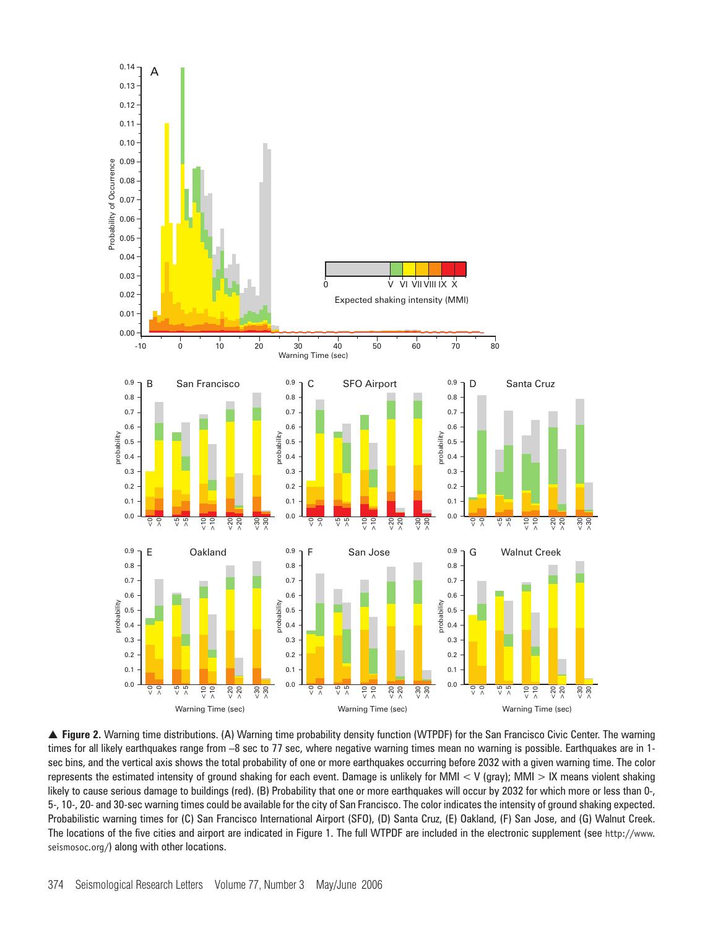

▲ Figure 2. Warning time distributions. (A) Warning time probability density function (WTPDF) for the San Francisco Civic Center. The warning times for all likely earthquakes range from –8 sec to 77 sec, where negative warning times mean no warning is possible. Earthquakes are in 1 sec bins, and the vertical axis shows the total probability of one or more earthquakes occurring before 2032 with a given warning time. The color represents the estimated intensity of ground shaking for each event. Damage is unlikely for MMI < V (gray); MMI > IX means violent shaking likely to cause serious damage to buildings (red). (B) Probability that one or more earthquakes will occur by 2032 for which more or less than 0-, 5-, 10-, 20- and 30-sec warning times could be available for the city of San Francisco. The color indicates the intensity of ground shaking expected. Probabilistic warning times for (C) San Francisco International Airport (SFO), (D) Santa Cruz, (E) Oakland, (F) San Jose, and (G) Walnut Creek. The locations of the five cities and airport are indicated in Figure 1. The full WTPDF are included in the electronic supplement (see http://www. seismosoc.org/) along with other locations.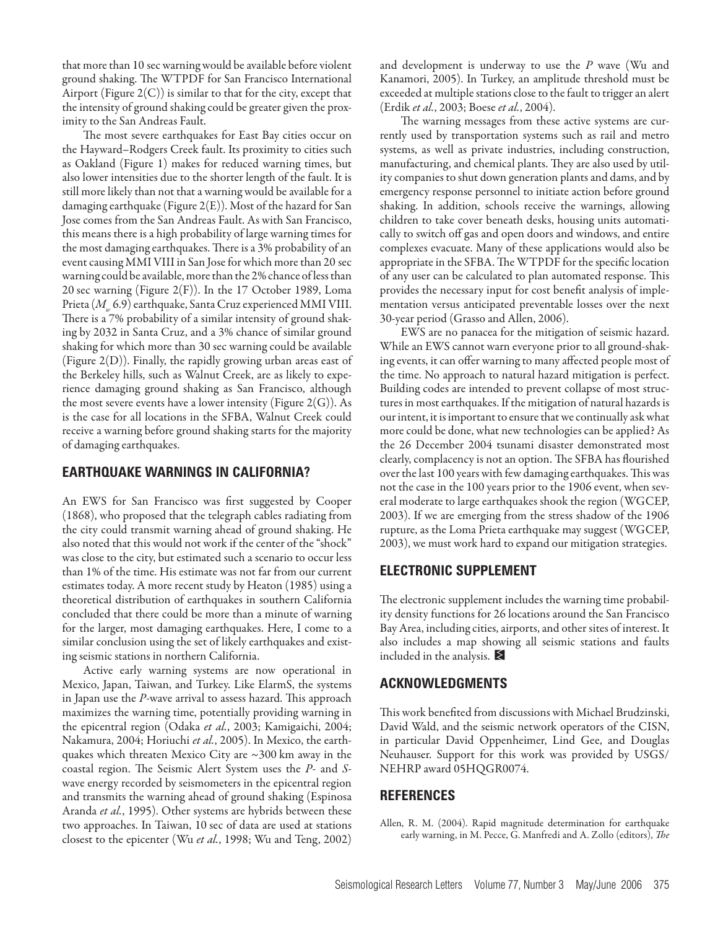that more than 10 sec warning would be available before violent ground shaking. The WTPDF for San Francisco International Airport (Figure  $2(C)$ ) is similar to that for the city, except that the intensity of ground shaking could be greater given the proximity to the San Andreas Fault.

The most severe earthquakes for East Bay cities occur on the Hayward–Rodgers Creek fault. Its proximity to cities such as Oakland (Figure 1) makes for reduced warning times, but also lower intensities due to the shorter length of the fault. It is still more likely than not that a warning would be available for a damaging earthquake (Figure 2(E)). Most of the hazard for San Jose comes from the San Andreas Fault. As with San Francisco, this means there is a high probability of large warning times for the most damaging earthquakes. There is a 3% probability of an event causing MMI VIII in San Jose for which more than 20 sec warning could be available, more than the 2% chance of less than 20 sec warning (Figure 2(F)). In the 17 October 1989, Loma Prieta (M<sub>w</sub> 6.9) earthquake, Santa Cruz experienced MMI VIII. There is a 7% probability of a similar intensity of ground shaking by 2032 in Santa Cruz, and a 3% chance of similar ground shaking for which more than 30 sec warning could be available (Figure 2(D)). Finally, the rapidly growing urban areas east of the Berkeley hills, such as Walnut Creek, are as likely to experience damaging ground shaking as San Francisco, although the most severe events have a lower intensity (Figure  $2(G)$ ). As is the case for all locations in the SFBA, Walnut Creek could receive a warning before ground shaking starts for the majority of damaging earthquakes.

# **EARTHQUAKE WARNINGS IN CALIFORNIA?**

An EWS for San Francisco was first suggested by Cooper (1868), who proposed that the telegraph cables radiating from the city could transmit warning ahead of ground shaking. He also noted that this would not work if the center of the "shock" was close to the city, but estimated such a scenario to occur less than 1% of the time. His estimate was not far from our current estimates today. A more recent study by Heaton (1985) using a theoretical distribution of earthquakes in southern California concluded that there could be more than a minute of warning for the larger, most damaging earthquakes. Here, I come to a similar conclusion using the set of likely earthquakes and existing seismic stations in northern California.

Active early warning systems are now operational in Mexico, Japan, Taiwan, and Turkey. Like ElarmS, the systems in Japan use the *P*-wave arrival to assess hazard. This approach maximizes the warning time, potentially providing warning in the epicentral region (Odaka *et al.*, 2003; Kamigaichi, 2004; Nakamura, 2004; Horiuchi *et al.*, 2005). In Mexico, the earthquakes which threaten Mexico City are  $\sim$ 300 km away in the coastal region. The Seismic Alert System uses the *P*- and *S*wave energy recorded by seismometers in the epicentral region and transmits the warning ahead of ground shaking (Espinosa Aranda *et al.*, 1995). Other systems are hybrids between these two approaches. In Taiwan, 10 sec of data are used at stations closest to the epicenter (Wu *et al.*, 1998; Wu and Teng, 2002)

and development is underway to use the *P* wave (Wu and Kanamori, 2005). In Turkey, an amplitude threshold must be exceeded at multiple stations close to the fault to trigger an alert (Erdik *et al.*, 2003; Boese *et al.*, 2004).

The warning messages from these active systems are currently used by transportation systems such as rail and metro systems, as well as private industries, including construction, manufacturing, and chemical plants. They are also used by utility companies to shut down generation plants and dams, and by emergency response personnel to initiate action before ground shaking. In addition, schools receive the warnings, allowing children to take cover beneath desks, housing units automatically to switch off gas and open doors and windows, and entire complexes evacuate. Many of these applications would also be appropriate in the SFBA. The WTPDF for the specific location of any user can be calculated to plan automated response. This provides the necessary input for cost benefit analysis of implementation versus anticipated preventable losses over the next 30-year period (Grasso and Allen, 2006).

EWS are no panacea for the mitigation of seismic hazard. While an EWS cannot warn everyone prior to all ground-shaking events, it can offer warning to many affected people most of the time. No approach to natural hazard mitigation is perfect. Building codes are intended to prevent collapse of most structures in most earthquakes. If the mitigation of natural hazards is our intent, it is important to ensure that we continually ask what more could be done, what new technologies can be applied? As the 26 December 2004 tsunami disaster demonstrated most clearly, complacency is not an option. The SFBA has flourished over the last 100 years with few damaging earthquakes. This was not the case in the 100 years prior to the 1906 event, when several moderate to large earthquakes shook the region (WGCEP, 2003). If we are emerging from the stress shadow of the 1906 rupture, as the Loma Prieta earthquake may suggest (WGCEP, 2003), we must work hard to expand our mitigation strategies.

# **ELECTRONIC SUPPLEMENT**

The electronic supplement includes the warning time probability density functions for 26 locations around the San Francisco Bay Area, including cities, airports, and other sites of interest. It also includes a map showing all seismic stations and faults included in the analysis.  $\blacktriangleright$ 

### **ACKNOWLEDGMENTS**

This work benefited from discussions with Michael Brudzinski, David Wald, and the seismic network operators of the CISN, in particular David Oppenheimer, Lind Gee, and Douglas Neuhauser. Support for this work was provided by USGS/ NEHRP award 05HQGR0074.

# **REFERENCES**

Allen, R. M. (2004). Rapid magnitude determination for earthquake early warning, in M. Pecce, G. Manfredi and A. Zollo (editors), *The*